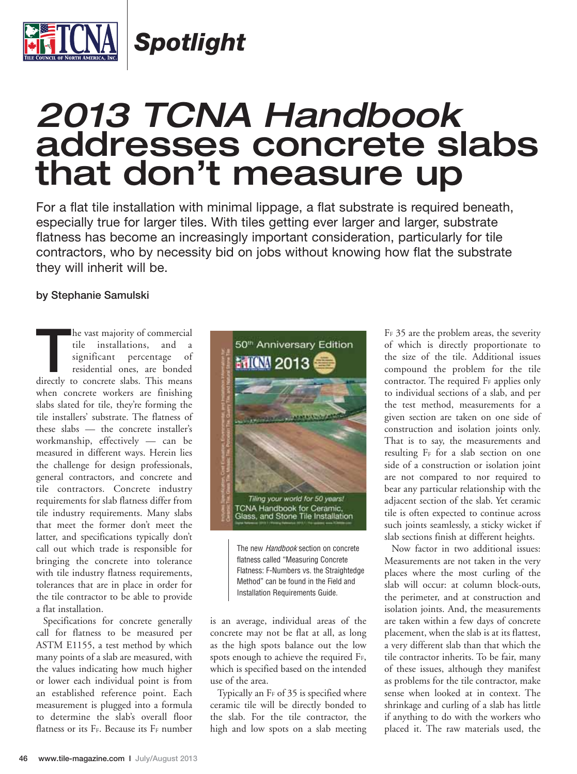

*Spotlight*

## *2013 TCNA Handbook* addresses concrete slabs that don't measure up

For a flat tile installation with minimal lippage, a flat substrate is required beneath, especially true for larger tiles. With tiles getting ever larger and larger, substrate flatness has become an increasingly important consideration, particularly for tile contractors, who by necessity bid on jobs without knowing how flat the substrate they will inherit will be.

## **by Stephanie Samulski**

**THE VAST MANUS COMMERGENT COMMERCIAL CONTROVIDED SURFERENCE CONTROLLER CONTROVIDED SURFERENCE CONTROLLER CONTROLLER CONTROLLER CONTROLLER CONTROLLER CONTROLLER CONTROLLER CONTROLLER CONTROLLER CONTROLLER CONTROLLER CONTRO** tile installations, and a significant percentage of residential ones, are bonded when concrete workers are finishing slabs slated for tile, they're forming the tile installers' substrate. The flatness of these slabs — the concrete installer's workmanship, effectively — can be measured in different ways. Herein lies the challenge for design professionals, general contractors, and concrete and tile contractors. Concrete industry requirements for slab flatness differ from tile industry requirements. Many slabs that meet the former don't meet the latter, and specifications typically don't call out which trade is responsible for bringing the concrete into tolerance with tile industry flatness requirements, tolerances that are in place in order for the tile contractor to be able to provide a flat installation.

Specifications for concrete generally call for flatness to be measured per ASTM E1155, a test method by which many points of a slab are measured, with the values indicating how much higher or lower each individual point is from an established reference point. Each measurement is plugged into a formula to determine the slab's overall floor flatness or its  $F_F$ . Because its  $F_F$  number



The new Handbook section on concrete flatness called "Measuring Concrete Flatness: F-Numbers vs. the Straightedge Method" can be found in the Field and Installation Requirements Guide.

is an average, individual areas of the concrete may not be flat at all, as long as the high spots balance out the low spots enough to achieve the required FF, which is specified based on the intended use of the area.

Typically an  $F_F$  of 35 is specified where ceramic tile will be directly bonded to the slab. For the tile contractor, the high and low spots on a slab meeting FF 35 are the problem areas, the severity of which is directly proportionate to the size of the tile. Additional issues compound the problem for the tile contractor. The required F<sub>F</sub> applies only to individual sections of a slab, and per the test method, measurements for a given section are taken on one side of construction and isolation joints only. That is to say, the measurements and resulting F<sub>F</sub> for a slab section on one side of a construction or isolation joint are not compared to nor required to bear any particular relationship with the adjacent section of the slab. Yet ceramic tile is often expected to continue across such joints seamlessly, a sticky wicket if slab sections finish at different heights.

Now factor in two additional issues: Measurements are not taken in the very places where the most curling of the slab will occur: at column block-outs, the perimeter, and at construction and isolation joints. And, the measurements are taken within a few days of concrete placement, when the slab is at its flattest, a very different slab than that which the tile contractor inherits. To be fair, many of these issues, although they manifest as problems for the tile contractor, make sense when looked at in context. The shrinkage and curling of a slab has little if anything to do with the workers who placed it. The raw materials used, the